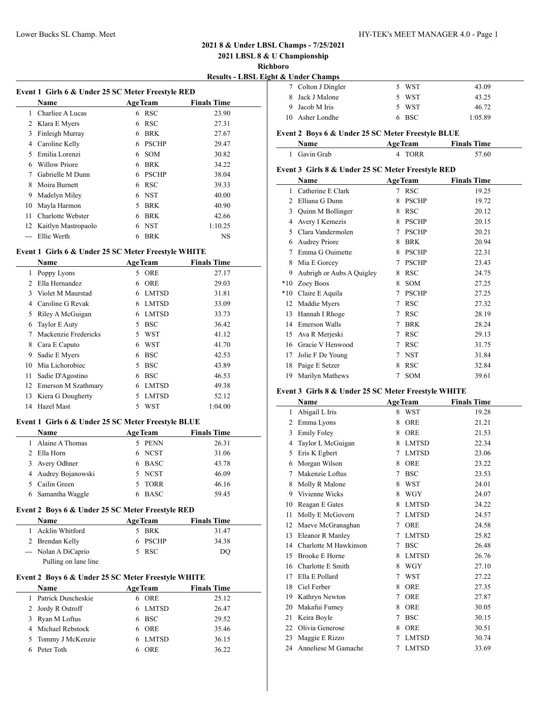## Lower Bucks SL Champ. Meet HY-TEK's MEET MANAGER 4.0 - Page 1

## **2021 8 & Under LBSL Champs - 7/25/2021**

**2021 LBSL 8 & U Championship**

**Richboro**

**Results - LBSL Eight & Under Champs**

| Event 1 Girls 6 & Under 25 SC Meter Freestyle RED |                     |    |                |                    |  |
|---------------------------------------------------|---------------------|----|----------------|--------------------|--|
|                                                   | Name                |    | <b>AgeTeam</b> | <b>Finals Time</b> |  |
| 1                                                 | Charliee A Lucas    |    | 6 RSC          | 23.90              |  |
| 2                                                 | Klara E Myers       | 6  | <b>RSC</b>     | 27.31              |  |
| 3                                                 | Finleigh Murray     | 6  | <b>BRK</b>     | 27.67              |  |
| 4                                                 | Caroline Kelly      | 6  | <b>PSCHP</b>   | 29.47              |  |
| 5                                                 | Emilia Lorenzi      | 6  | <b>SOM</b>     | 30.82              |  |
| 6                                                 | Willow Priore       | 6  | <b>BRK</b>     | 34.22              |  |
|                                                   | Gabrielle M Dunn    | 6  | <b>PSCHP</b>   | 38.04              |  |
| 8                                                 | Moira Burnett       | 6  | <b>RSC</b>     | 39.33              |  |
| 9                                                 | Madelyn Miley       | 6. | <b>NST</b>     | 40.00              |  |
| 10                                                | Mayla Harmon        | 5. | <b>BRK</b>     | 40.90              |  |
| 11                                                | Charlotte Webster   | 6  | <b>BRK</b>     | 42.66              |  |
| 12                                                | Kaitlyn Mastropaolo | 6  | <b>NST</b>     | 1:10.25            |  |
|                                                   | Ellie Werth         | 6  | <b>BRK</b>     | NS                 |  |

#### **Event 1 Girls 6 & Under 25 SC Meter Freestyle WHITE**

|    | <b>Name</b>          | <b>AgeTeam</b> |              | <b>Finals Time</b> |  |
|----|----------------------|----------------|--------------|--------------------|--|
| 1  | Poppy Lyons          | 5.             | <b>ORE</b>   | 27.17              |  |
| 2  | Ella Hernandez       | 6              | <b>ORE</b>   | 29.03              |  |
| 3  | Violet M Maurstad    | 6              | <b>LMTSD</b> | 31.81              |  |
| 4  | Caroline G Revak     | 6              | <b>LMTSD</b> | 33.09              |  |
| 5  | Riley A McGuigan     | 6              | <b>LMTSD</b> | 33.73              |  |
| 6  | Taylor E Auty        | 5.             | <b>BSC</b>   | 36.42              |  |
| 7  | Mackenzie Fredericks | 5.             | <b>WST</b>   | 41.12              |  |
| 8  | Cara E Caputo        | 6              | WST          | 41.70              |  |
| 9  | Sadie E Myers        | 6              | <b>BSC</b>   | 42.53              |  |
| 10 | Mia Lichorobiec      | 5              | <b>BSC</b>   | 43.89              |  |
| 11 | Sadie D'Agostino     | 6              | <b>BSC</b>   | 46.53              |  |
| 12 | Emerson M Szathmary  | 6              | <b>LMTSD</b> | 49.38              |  |
| 13 | Kiera G Dougherty    | 5              | <b>LMTSD</b> | 52.12              |  |
| 14 | Hazel Mast           | 5              | WST          | 1:04.00            |  |

#### **Event 1 Girls 6 & Under 25 SC Meter Freestyle BLUE**

 $\overline{a}$ 

| <b>Name</b>         |  | <b>AgeTeam</b> | <b>Finals Time</b> |  |  |
|---------------------|--|----------------|--------------------|--|--|
| Alaine A Thomas     |  | 5 PENN         | 26.31              |  |  |
| 2 Ella Horn         |  | 6 NCST         | 31.06              |  |  |
| 3 Avery Odhner      |  | 6 BASC         | 43.78              |  |  |
| 4 Audrey Bojanowski |  | 5 NCST         | 46.09              |  |  |
| 5 Cailin Green      |  | 5 TORR         | 46.16              |  |  |
| 6 Samantha Waggle   |  | <b>BASC</b>    | 59.45              |  |  |

## **Event 2 Boys 6 & Under 25 SC Meter Freestyle RED**

| <b>Name</b>          | <b>AgeTeam</b> | <b>Finals Time</b> |
|----------------------|----------------|--------------------|
| 1 Acklin Whitford    | 5 BRK          | 31.47              |
| 2 Brendan Kelly      | 6 PSCHP        | 34.38              |
| --- Nolan A DiCaprio | 5 RSC          | DO                 |
| Pulling on lane line |                |                    |

## **Event 2 Boys 6 & Under 25 SC Meter Freestyle WHITE**

|   | <b>Name</b>        | <b>AgeTeam</b> | <b>Finals Time</b> |
|---|--------------------|----------------|--------------------|
| 1 | Patrick Duncheskie | 6 ORE          | 25.12              |
|   | 2 Jordy R Ostroff  | 6 LMTSD        | 26.47              |
|   | 3 Ryan M Loftus    | 6 BSC          | 29.52              |
|   | 4 Michael Rebstock | 6 ORE          | 35.46              |
|   | 5 Tommy J McKenzie | 6 LMTSD        | 36.15              |
|   | 6 Peter Toth       | 6 ORE          | 36.22              |

| ос описі спашру    |       |         |
|--------------------|-------|---------|
| 7 Colton J Dingler | 5 WST | 43.09   |
| 8 Jack J Malone    | 5 WST | 43.25   |
| 9 Jacob M Iris     | 5 WST | 46.72   |
| 10 Asher Londhe    | 6 BSC | 1:05.89 |
|                    |       |         |

## **Event 2 Boys 6 & Under 25 SC Meter Freestyle BLUE**

| <b>Name</b>  | <b>AgeTeam</b> | <b>Finals Time</b> |  |
|--------------|----------------|--------------------|--|
| 1 Gavin Grab | <b>TORR</b>    | 57.60              |  |

### **Event 3 Girls 8 & Under 25 SC Meter Freestyle RED**

|       | Name                      |   | <b>AgeTeam</b> | <b>Finals Time</b> |
|-------|---------------------------|---|----------------|--------------------|
| 1     | Catherine E Clark         | 7 | <b>RSC</b>     | 19.25              |
| 2     | Elliana G Dunn            | 8 | <b>PSCHP</b>   | 19.72              |
| 3     | Quinn M Bollinger         | 8 | <b>RSC</b>     | 20.12              |
| 4     | Avery I Kemezis           | 8 | <b>PSCHP</b>   | 20.15              |
| 5     | Clara Vandermolen         | 7 | <b>PSCHP</b>   | 20.21              |
| 6     | <b>Audrey Priore</b>      | 8 | <b>BRK</b>     | 20.94              |
| 7     | Emma G Ouimette           | 8 | <b>PSCHP</b>   | 22.31              |
| 8     | Mia E Gorcey              | 7 | <b>PSCHP</b>   | 23.43              |
| 9     | Aubrigh or Aubs A Quigley | 8 | <b>RSC</b>     | 24.75              |
| $*10$ | Zoey Boos                 | 8 | SOM            | 27.25              |
| $*10$ | Claire E Aquila           | 7 | <b>PSCHP</b>   | 27.25              |
| 12    | Maddie Myers              | 7 | <b>RSC</b>     | 27.32              |
| 13    | Hannah I Rhoge            | 7 | <b>RSC</b>     | 28.19              |
| 14    | Emerson Walls             | 7 | <b>BRK</b>     | 28.24              |
| 15    | Ava R Merjeski            | 7 | <b>RSC</b>     | 29.13              |
| 16    | Gracie V Henwood          | 7 | <b>RSC</b>     | 31.75              |
| 17    | Jolie F De Young          | 7 | <b>NST</b>     | 31.84              |
| 18    | Paige E Setzer            | 8 | <b>RSC</b>     | 32.84              |
| 19    | Marilyn Mathews           | 7 | SOM            | 39.61              |

#### **Event 3 Girls 8 & Under 25 SC Meter Freestyle WHITE**

|    | Name                  |   | <b>AgeTeam</b> | <b>Finals Time</b> |
|----|-----------------------|---|----------------|--------------------|
| 1  | Abigail L Iris        | 8 | <b>WST</b>     | 19.28              |
| 2  | Emma Lyons            | 8 | ORE            | 21.21              |
| 3  | <b>Emily Foley</b>    | 8 | <b>ORE</b>     | 21.53              |
| 4  | Taylor L McGuigan     | 8 | <b>LMTSD</b>   | 22.34              |
| 5  | Eris K Egbert         | 7 | <b>LMTSD</b>   | 23.06              |
| 6  | Morgan Wilson         | 8 | <b>ORE</b>     | 23.22              |
| 7  | Makenzie Loftus       | 7 | <b>BSC</b>     | 23.53              |
| 8  | Molly R Malone        | 8 | WST            | 24.01              |
| 9  | Vivienne Wicks        | 8 | <b>WGY</b>     | 24.07              |
| 10 | Reagan E Gates        | 8 | <b>LMTSD</b>   | 24.22              |
| 11 | Molly E McGovern      | 7 | <b>LMTSD</b>   | 24.57              |
| 12 | Maeve McGranaghan     | 7 | ORE            | 24.58              |
| 13 | Eleanor R Manley      | 7 | <b>LMTSD</b>   | 25.82              |
| 14 | Charlotte M Hawkinson | 7 | <b>BSC</b>     | 26.48              |
| 15 | <b>Brooke E Horne</b> | 8 | <b>LMTSD</b>   | 26.76              |
| 16 | Charlotte E Smith     | 8 | <b>WGY</b>     | 27.10              |
| 17 | Ella E Pollard        | 7 | WST            | 27.22              |
| 18 | Ciel Ferber           | 8 | ORE            | 27.35              |
| 19 | Kathryn Newton        | 7 | ORE            | 27.87              |
| 20 | Makafui Fumey         | 8 | ORE            | 30.05              |
| 21 | Keira Boyle           | 7 | <b>BSC</b>     | 30.15              |
| 22 | Olivia Generose       | 8 | <b>ORE</b>     | 30.51              |
| 23 | Maggie E Rizzo        | 7 | <b>LMTSD</b>   | 30.74              |
| 24 | Anneliese M Gamache   | 7 | <b>LMTSD</b>   | 33.69              |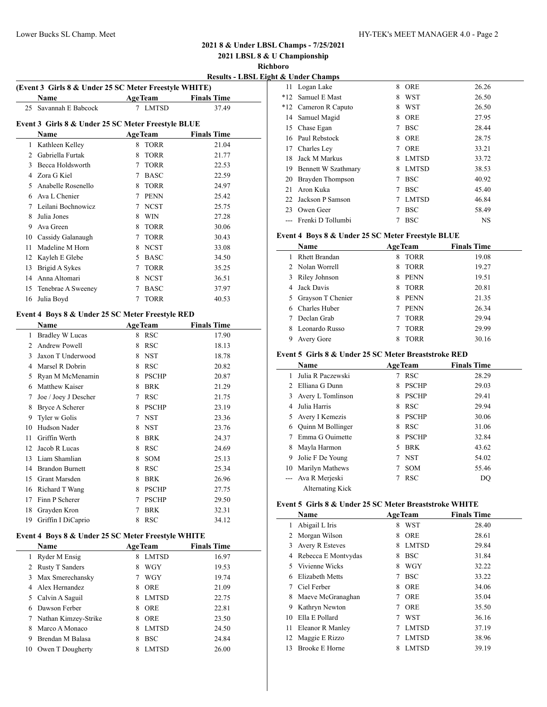**2021 LBSL 8 & U Championship**

**Richboro**

**Results - LBSL Eight** 

 $\overline{\phantom{a}}$ 

 $\frac{1}{2}$ 

|              | (Event 3 Girls 8 & Under 25 SC Meter Freestyle WHITE)<br>Name |             | AgeTeam                                            | <b>Finals Time</b> |  |  |  |  |
|--------------|---------------------------------------------------------------|-------------|----------------------------------------------------|--------------------|--|--|--|--|
| 25           | Savannah E Babcock                                            |             | 7 LMTSD                                            | 37.49              |  |  |  |  |
|              |                                                               |             |                                                    |                    |  |  |  |  |
|              | Event 3 Girls 8 & Under 25 SC Meter Freestyle BLUE<br>Name    |             | <b>AgeTeam</b>                                     | <b>Finals Time</b> |  |  |  |  |
|              |                                                               | 8           | <b>TORR</b>                                        | 21.04              |  |  |  |  |
| $\mathbf{1}$ | Kathleen Kelley                                               |             |                                                    |                    |  |  |  |  |
|              | 2 Gabriella Furtak                                            | 8           | <b>TORR</b>                                        | 21.77              |  |  |  |  |
|              | 3 Becca Holdsworth                                            |             | 7 TORR                                             | 22.53              |  |  |  |  |
|              | 4 Zora G Kiel                                                 |             | 7 BASC                                             | 22.59              |  |  |  |  |
|              | 5 Anabelle Rosenello                                          |             | 8 TORR                                             | 24.97              |  |  |  |  |
|              | 6 Ava L Chenier                                               |             | 7 PENN                                             | 25.42              |  |  |  |  |
|              | 7 Leilani Bochnowicz                                          |             | 7 NCST                                             | 25.75              |  |  |  |  |
|              | 8 Julia Jones                                                 |             | 8 WIN                                              | 27.28              |  |  |  |  |
|              | 9 Ava Green                                                   |             | 8 TORR                                             | 30.06              |  |  |  |  |
|              | 10 Cassidy Galanaugh                                          |             | 7 TORR                                             | 30.43              |  |  |  |  |
| 11           | Madeline M Horn                                               |             | 8 NCST                                             | 33.08              |  |  |  |  |
|              | 12 Kayleh E Glebe                                             |             | 5 BASC                                             | 34.50              |  |  |  |  |
| 13           | Brigid A Sykes                                                |             | 7 TORR                                             | 35.25              |  |  |  |  |
|              | 14 Anna Altomari                                              |             | 8 NCST                                             | 36.51              |  |  |  |  |
| 15           | Tenebrae A Sweeney                                            |             | 7 BASC                                             | 37.97              |  |  |  |  |
| 16           | Julia Boyd                                                    |             | 7 TORR                                             | 40.53              |  |  |  |  |
|              | Event 4 Boys 8 & Under 25 SC Meter Freestyle RED              |             |                                                    |                    |  |  |  |  |
|              | Name                                                          |             | <b>AgeTeam</b>                                     | <b>Finals Time</b> |  |  |  |  |
| 1            | <b>Bradley W Lucas</b>                                        |             | 8 RSC                                              | 17.90              |  |  |  |  |
|              | 2 Andrew Powell                                               |             | 8 RSC                                              | 18.13              |  |  |  |  |
| 3            | Jaxon T Underwood                                             |             | 8 NST                                              | 18.78              |  |  |  |  |
|              | 4 Marsel R Dobrin                                             |             | 8 RSC                                              | 20.82              |  |  |  |  |
|              | 5 Ryan M McMenamin                                            |             | 8 PSCHP                                            | 20.87              |  |  |  |  |
|              | 6 Matthew Kaiser                                              |             | 8 BRK                                              | 21.29              |  |  |  |  |
|              | 7 Joe / Joey J Descher                                        |             | 7 RSC                                              | 21.75              |  |  |  |  |
|              | 8 Bryce A Scherer                                             |             | 8 PSCHP                                            | 23.19              |  |  |  |  |
| 9            | Tyler w Golis                                                 |             | 7 NST                                              | 23.36              |  |  |  |  |
|              | 10 Hudson Nader                                               |             | 8 NST                                              | 23.76              |  |  |  |  |
|              | 11 Griffin Werth                                              |             | 8 BRK                                              | 24.37              |  |  |  |  |
| 12           | Jacob R Lucas                                                 |             | 8 RSC                                              | 24.69              |  |  |  |  |
| 13           | Liam Shamlian                                                 |             | 8 SOM                                              | 25.13              |  |  |  |  |
|              | 14 Brandon Burnett                                            |             | 8 RSC                                              | 25.34              |  |  |  |  |
|              | 15 Grant Marsden                                              |             | 8 BRK                                              | 26.96              |  |  |  |  |
|              |                                                               |             |                                                    |                    |  |  |  |  |
|              | 16 Richard T Wang                                             |             | 8 PSCHP                                            | 27.75              |  |  |  |  |
|              | 17 Finn P Scherer                                             |             | 7 PSCHP                                            | 29.50              |  |  |  |  |
| 18           | Grayden Kron                                                  | $7^{\circ}$ | <b>BRK</b>                                         | 32.31              |  |  |  |  |
| 19           | Griffin I DiCaprio                                            |             | 8 RSC                                              | 34.12              |  |  |  |  |
|              |                                                               |             | Event 4 Boys 8 & Under 25 SC Meter Freestyle WHITE |                    |  |  |  |  |

|    | Name                   | <b>AgeTeam</b>    | <b>Finals Time</b> |
|----|------------------------|-------------------|--------------------|
|    | Ryder M Ensig          | <b>LMTSD</b><br>8 | 16.97              |
|    | <b>Rusty T Sanders</b> | WGY<br>8          | 19.53              |
| 3  | Max Smerechansky       | WGY               | 19.74              |
|    | Alex Hernandez         | <b>ORE</b><br>8   | 21.09              |
| 5  | Calvin A Saguil        | <b>LMTSD</b><br>8 | 22.75              |
|    | Dawson Ferber          | ORE<br>8          | 22.81              |
|    | Nathan Kimzey-Strike   | <b>ORE</b><br>8   | 23.50              |
|    | Marco A Monaco         | <b>LMTSD</b><br>8 | 24.50              |
| 9  | Brendan M Balasa       | <b>BSC</b><br>8   | 24.84              |
| 10 | Owen T Dougherty       | <b>LMTSD</b><br>8 | 26.00              |

|     | & Under Champs         |   |              |       |
|-----|------------------------|---|--------------|-------|
| 11  | Logan Lake             | 8 | <b>ORE</b>   | 26.26 |
| *12 | Samuel E Mast          | 8 | WST          | 26.50 |
|     | *12 Cameron R Caputo   | 8 | <b>WST</b>   | 26.50 |
| 14  | Samuel Magid           | 8 | <b>ORE</b>   | 27.95 |
| 15  | Chase Egan             | 7 | <b>BSC</b>   | 28.44 |
| 16  | Paul Rebstock          | 8 | <b>ORE</b>   | 28.75 |
| 17  | Charles Ley            | 7 | <b>ORE</b>   | 33.21 |
| 18  | Jack M Markus          | 8 | <b>LMTSD</b> | 33.72 |
|     | 19 Bennett W Szathmary | 8 | <b>LMTSD</b> | 38.53 |
| 20  | Brayden Thompson       | 7 | <b>BSC</b>   | 40.92 |
| 21  | Aron Kuka              | 7 | <b>BSC</b>   | 45.40 |
| 22  | Jackson P Samson       | 7 | <b>LMTSD</b> | 46.84 |
| 23  | Owen Geer              | 7 | <b>BSC</b>   | 58.49 |
|     | Frenki D Tollumbi      |   | <b>BSC</b>   | NS    |

## **Event 4 Boys 8 & Under 25 SC Meter Freestyle BLUE**

| Name                 | <b>AgeTeam</b>   | <b>Finals Time</b> |
|----------------------|------------------|--------------------|
| <b>Rhett Brandan</b> | <b>TORR</b><br>8 | 19.08              |
| 2 Nolan Worrell      | TORR<br>8        | 19.27              |
| 3 Riley Johnson      | <b>PENN</b><br>8 | 19.51              |
| 4 Jack Davis         | TORR<br>8        | 20.81              |
| 5 Grayson T Chenier  | PENN<br>8.       | 21.35              |
| 6 Charles Huber      | <b>PENN</b><br>7 | 26.34              |
| Declan Grab          | <b>TORR</b>      | 29.94              |
| Leonardo Russo<br>8  | <b>TORR</b>      | 29.99              |
| Avery Gore<br>9      | <b>TORR</b><br>8 | 30.16              |

## **Event 5 Girls 8 & Under 25 SC Meter Breaststroke RED**

|             | Name               |    | <b>AgeTeam</b> | <b>Finals Time</b> |
|-------------|--------------------|----|----------------|--------------------|
|             | Julia R Paczewski  |    | <b>RSC</b>     | 28.29              |
| $2^{\circ}$ | Elliana G Dunn     | 8  | <b>PSCHP</b>   | 29.03              |
| 3           | Avery L Tomlinson  | 8  | <b>PSCHP</b>   | 29.41              |
| 4           | Julia Harris       | 8  | <b>RSC</b>     | 29.94              |
|             | Avery I Kemezis    | 8  | <b>PSCHP</b>   | 30.06              |
| 6           | Quinn M Bollinger  | 8  | <b>RSC</b>     | 31.06              |
|             | Emma G Ouimette    | 8  | <b>PSCHP</b>   | 32.84              |
| 8           | Mayla Harmon       | 5. | <b>BRK</b>     | 43.62              |
| 9           | Jolie F De Young   |    | <b>NST</b>     | 54.02              |
| 10          | Marilyn Mathews    |    | <b>SOM</b>     | 55.46              |
|             | --- Ava R Merjeski |    | <b>RSC</b>     | DO                 |
|             | Alternating Kick   |    |                |                    |

#### **Event 5 Girls 8 & Under 25 SC Meter Breaststroke WHITE**

|    | Name                  | <b>AgeTeam</b> |              | <b>Finals Time</b> |
|----|-----------------------|----------------|--------------|--------------------|
| 1  | Abigail L Iris        | 8              | <b>WST</b>   | 28.40              |
| 2  | Morgan Wilson         | 8              | <b>ORE</b>   | 28.61              |
| 3  | Avery R Esteves       | 8              | <b>LMTSD</b> | 29.84              |
| 4  | Rebecca E Montvydas   | 8              | <b>BSC</b>   | 31.84              |
| 5  | Vivienne Wicks        | 8              | WGY          | 32.22              |
| 6  | Elizabeth Metts       | 7              | <b>BSC</b>   | 33.22              |
| 7  | Ciel Ferber           | 8              | <b>ORE</b>   | 34.06              |
| 8  | Maeve McGranaghan     | 7              | <b>ORE</b>   | 35.04              |
| 9  | Kathryn Newton        | 7              | ORE          | 35.50              |
| 10 | Ella E Pollard        | 7              | WST          | 36.16              |
| 11 | Eleanor R Manley      | 7              | <b>LMTSD</b> | 37.19              |
| 12 | Maggie E Rizzo        |                | <b>LMTSD</b> | 38.96              |
| 13 | <b>Brooke E Horne</b> | 8              | <b>LMTSD</b> | 39.19              |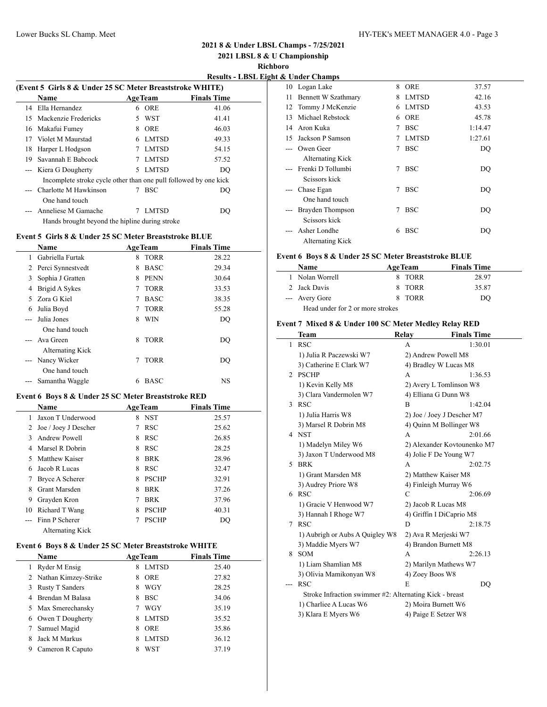**2021 LBSL 8 & U Championship**

**Richboro**<br>**Example 4**  $\theta$  **Lind** 

| <u> Results - LBSL Eight &amp; Under Champs</u> |  |  |  |
|-------------------------------------------------|--|--|--|
|                                                 |  |  |  |

| (Event 5 Girls 8 & Under 25 SC Meter Breaststroke WHITE) |                                                                  |    |              |                    |  |
|----------------------------------------------------------|------------------------------------------------------------------|----|--------------|--------------------|--|
|                                                          | Name                                                             |    | AgeTeam      | <b>Finals Time</b> |  |
|                                                          | 14 Ella Hernandez                                                | 6  | <b>ORE</b>   | 41.06              |  |
|                                                          | 15 Mackenzie Fredericks                                          | 5. | WST          | 41.41              |  |
|                                                          | 16 Makafui Fumey                                                 | 8  | ORE          | 46.03              |  |
| 17                                                       | Violet M Maurstad                                                | 6  | <b>LMTSD</b> | 49.33              |  |
| 18                                                       | Harper L Hodgson                                                 |    | <b>LMTSD</b> | 54.15              |  |
| 19                                                       | Savannah E Babcock                                               |    | <b>LMTSD</b> | 57.52              |  |
|                                                          | --- Kiera G Dougherty                                            | 5  | <b>LMTSD</b> | DO                 |  |
|                                                          | Incomplete stroke cycle other than one pull followed by one kick |    |              |                    |  |
|                                                          | --- Charlotte M Hawkinson                                        |    | <b>BSC</b>   | DO                 |  |
|                                                          | One hand touch                                                   |    |              |                    |  |
|                                                          | Anneliese M Gamache                                              |    | <b>LMTSD</b> | DO                 |  |
|                                                          | Hands brought beyond the hipline during stroke                   |    |              |                    |  |

### **Event 5 Girls 8 & Under 25 SC Meter Breaststroke BLUE**

|       | Name                |   | <b>AgeTeam</b> | <b>Finals Time</b> |  |
|-------|---------------------|---|----------------|--------------------|--|
| 1     | Gabriella Furtak    | 8 | <b>TORR</b>    | 28.22              |  |
|       | 2 Perci Synnestvedt | 8 | <b>BASC</b>    | 29.34              |  |
| 3     | Sophia J Gratten    | 8 | <b>PENN</b>    | 30.64              |  |
| 4     | Brigid A Sykes      | 7 | <b>TORR</b>    | 33.53              |  |
| 5     | Zora G Kiel         | 7 | <b>BASC</b>    | 38.35              |  |
| 6     | Julia Boyd          | 7 | <b>TORR</b>    | 55.28              |  |
| $---$ | Julia Jones         | 8 | <b>WIN</b>     | DQ                 |  |
|       | One hand touch      |   |                |                    |  |
|       | Ava Green           | 8 | <b>TORR</b>    | DO                 |  |
|       | Alternating Kick    |   |                |                    |  |
| $---$ | Nancy Wicker        |   | <b>TORR</b>    | DO                 |  |
|       | One hand touch      |   |                |                    |  |
|       | Samantha Waggle     | 6 | <b>BASC</b>    | NS                 |  |

#### **Event 6 Boys 8 & Under 25 SC Meter Breaststroke RED**

|    | Name                    |   | <b>AgeTeam</b> | <b>Finals Time</b> |
|----|-------------------------|---|----------------|--------------------|
|    | Jaxon T Underwood       |   | 8 NST          | 25.57              |
|    | 2 Joe / Joey J Descher  | 7 | <b>RSC</b>     | 25.62              |
| 3  | Andrew Powell           | 8 | <b>RSC</b>     | 26.85              |
| 4  | Marsel R Dobrin         | 8 | <b>RSC</b>     | 28.25              |
|    | 5 Matthew Kaiser        | 8 | <b>BRK</b>     | 28.96              |
| 6  | Jacob R Lucas           | 8 | <b>RSC</b>     | 32.47              |
|    | Bryce A Scherer         | 8 | <b>PSCHP</b>   | 32.91              |
| 8  | <b>Grant Marsden</b>    | 8 | <b>BRK</b>     | 37.26              |
| 9  | Grayden Kron            |   | <b>BRK</b>     | 37.96              |
| 10 | Richard T Wang          | 8 | <b>PSCHP</b>   | 40.31              |
|    | --- Finn P Scherer      |   | <b>PSCHP</b>   | DQ                 |
|    | <b>Alternating Kick</b> |   |                |                    |

### **Event 6 Boys 8 & Under 25 SC Meter Breaststroke WHITE**

|   | <b>Name</b>            | <b>AgeTeam</b>    | <b>Finals Time</b> |
|---|------------------------|-------------------|--------------------|
|   | Ryder M Ensig          | <b>LMTSD</b><br>8 | 25.40              |
|   | 2 Nathan Kimzey-Strike | <b>ORE</b><br>8   | 27.82              |
| 3 | <b>Rusty T Sanders</b> | <b>WGY</b><br>8   | 28.25              |
| 4 | Brendan M Balasa       | <b>BSC</b><br>8   | 34.06              |
|   | 5 Max Smerechansky     | WGY               | 35.19              |
| 6 | Owen T Dougherty       | <b>LMTSD</b><br>8 | 35.52              |
|   | Samuel Magid           | <b>ORE</b><br>8   | 35.86              |
| 8 | Jack M Markus          | <b>LMTSD</b><br>8 | 36.12              |
| 9 | Cameron R Caputo       | <b>WST</b><br>8   | 37.19              |

|       | о опист спашру      |    |              |         |
|-------|---------------------|----|--------------|---------|
| 10    | Logan Lake          | 8  | ORE          | 37.57   |
| 11    | Bennett W Szathmary | 8  | <b>LMTSD</b> | 42.16   |
|       | 12 Tommy J McKenzie | 6. | LMTSD        | 43.53   |
| 13    | Michael Rebstock    | 6  | ORE          | 45.78   |
| 14    | Aron Kuka           | 7  | <b>BSC</b>   | 1:14.47 |
| 15.   | Jackson P Samson    | 7  | LMTSD        | 1:27.61 |
|       | Owen Geer           | 7  | <b>BSC</b>   | DQ      |
|       | Alternating Kick    |    |              |         |
|       | Frenki D Tollumbi   | 7  | <b>BSC</b>   | DO      |
|       | Seissors kick       |    |              |         |
| $---$ | Chase Egan          | 7  | <b>BSC</b>   | DQ      |
|       | One hand touch      |    |              |         |
|       | Brayden Thompson    | 7  | <b>BSC</b>   | DQ      |
|       | Seissors kick       |    |              |         |
|       | Asher Londhe        | 6  | <b>BSC</b>   | DO      |
|       | Alternating Kick    |    |              |         |

### **Event 6 Boys 8 & Under 25 SC Meter Breaststroke BLUE**

| <b>Name</b>                      | <b>AgeTeam</b> | <b>Finals Time</b> |
|----------------------------------|----------------|--------------------|
| 1 Nolan Worrell                  | 8 TORR         | 28.97              |
| 2 Jack Davis                     | 8 TORR         | 35.87              |
| --- Avery Gore                   | 8 TORR         | DO.                |
| Head under for 2 or more strokes |                |                    |

## **Event 7 Mixed 8 & Under 100 SC Meter Medley Relay RED**

|    | Team                                                    | Relay       | <b>Finals Time</b>          |
|----|---------------------------------------------------------|-------------|-----------------------------|
| 1  | <b>RSC</b>                                              | A           | 1:30.01                     |
|    | 1) Julia R Paczewski W7                                 |             | 2) Andrew Powell M8         |
|    | 3) Catherine E Clark W7                                 |             | 4) Bradley W Lucas M8       |
| 2  | <b>PSCHP</b>                                            | А           | 1:36.53                     |
|    | 1) Kevin Kelly M8                                       |             | 2) Avery L Tomlinson W8     |
|    | 3) Clara Vandermolen W7                                 |             | 4) Elliana G Dunn W8        |
| 3  | <b>RSC</b>                                              | B           | 1:42.04                     |
|    | 1) Julia Harris W8                                      |             | 2) Joe / Joey J Descher M7  |
|    | 3) Marsel R Dobrin M8                                   |             | 4) Quinn M Bollinger W8     |
| 4  | <b>NST</b>                                              | А           | 2:01.66                     |
|    | 1) Madelyn Miley W6                                     |             | 2) Alexander Kovtounenko M7 |
|    | 3) Jaxon T Underwood M8                                 |             | 4) Jolie F De Young W7      |
| 5. | <b>BRK</b>                                              | A           | 2:02.75                     |
|    | 1) Grant Marsden M8                                     |             | 2) Matthew Kaiser M8        |
|    | 3) Audrey Priore W8                                     |             | 4) Finleigh Murray W6       |
| 6  | <b>RSC</b>                                              | $\mathbf C$ | 2:06.69                     |
|    | 1) Gracie V Henwood W7                                  |             | 2) Jacob R Lucas M8         |
|    | 3) Hannah I Rhoge W7                                    |             | 4) Griffin I DiCaprio M8    |
| 7  | <b>RSC</b>                                              | D           | 2:18.75                     |
|    | 1) Aubrigh or Aubs A Quigley W8                         |             | 2) Ava R Merjeski W7        |
|    | 3) Maddie Myers W7                                      |             | 4) Brandon Burnett M8       |
| 8  | <b>SOM</b>                                              | А           | 2:26.13                     |
|    | 1) Liam Shamlian M8                                     |             | 2) Marilyn Mathews W7       |
|    | 3) Olivia Mamikonyan W8                                 |             | 4) Zoey Boos W8             |
|    | <b>RSC</b>                                              | E           | DO                          |
|    | Stroke Infraction swimmer #2: Alternating Kick - breast |             |                             |
|    | 1) Charliee A Lucas W6                                  |             | 2) Moira Burnett W6         |
|    | 3) Klara E Myers W6                                     |             | 4) Paige E Setzer W8        |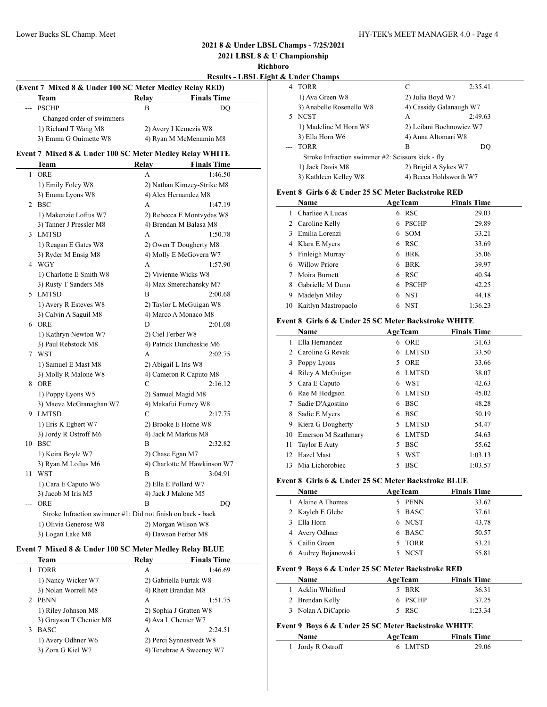2:35.41

## **2021 8 & Under LBSL Champs - 7/25/2021**

**2021 LBSL 8 & U Championship**

**Richboro**

| <b>Results - LBSL Eight &amp; Under Champs</b> |  |  |  |
|------------------------------------------------|--|--|--|
|                                                |  |  |  |

|       | (Event 7 Mixed 8 & Under 100 SC Meter Medley Relay RED)     |                   |                                   |    | 4 TORR                                               |   | C                    | 2:35.41                  |
|-------|-------------------------------------------------------------|-------------------|-----------------------------------|----|------------------------------------------------------|---|----------------------|--------------------------|
|       | Team                                                        | Relay             | <b>Finals Time</b>                |    | 1) Ava Green W8                                      |   | 2) Julia Boyd W7     |                          |
|       | --- PSCHP                                                   | $\overline{B}$    | <b>DQ</b>                         |    | 3) Anabelle Rosenello W8                             |   |                      | 4) Cassidy Galanaugh W7  |
|       | Changed order of swimmers                                   |                   |                                   |    | 5 NCST                                               |   | А                    | 2:49.63                  |
|       | 1) Richard T Wang M8                                        |                   | 2) Avery I Kemezis W8             |    | 1) Madeline M Horn W8                                |   |                      | 2) Leilani Bochnowicz W7 |
|       | 3) Emma G Ouimette W8                                       |                   | 4) Ryan M McMenamin M8            |    | 3) Ella Horn W6                                      |   | 4) Anna Altomari W8  |                          |
|       |                                                             |                   |                                   |    | --- TORR                                             |   | $\overline{B}$       | <b>DQ</b>                |
|       | Event 7 Mixed 8 & Under 100 SC Meter Medley Relay WHITE     |                   |                                   |    | Stroke Infraction swimmer #2: Scissors kick - fly    |   |                      |                          |
|       | <b>Team</b><br>1 ORE                                        | Relay<br>A        | <b>Finals Time</b><br>1:46.50     |    | 1) Jack Davis M8                                     |   | 2) Brigid A Sykes W7 |                          |
|       |                                                             |                   |                                   |    | 3) Kathleen Kelley W8                                |   |                      | 4) Becca Holdsworth W7   |
|       | 1) Emily Foley W8                                           |                   | 2) Nathan Kimzey-Strike M8        |    | Event 8 Girls 6 & Under 25 SC Meter Backstroke RED   |   |                      |                          |
|       | 3) Emma Lyons W8<br>2 BSC                                   |                   | 4) Alex Hernandez M8<br>1:47.19   |    | <b>Name</b>                                          |   | <b>AgeTeam</b>       | <b>Finals Time</b>       |
|       |                                                             | A                 |                                   |    | 1 Charliee A Lucas                                   |   | 6 RSC                | 29.03                    |
|       | 1) Makenzie Loftus W7                                       |                   | 2) Rebecca E Montvydas W8         |    | 2 Caroline Kelly                                     |   | 6 PSCHP              | 29.89                    |
|       | 3) Tanner J Pressler M8<br>3 LMTSD                          | A                 | 4) Brendan M Balasa M8<br>1:50.78 |    | 3 Emilia Lorenzi                                     | 6 | SOM                  | 33.21                    |
|       |                                                             |                   |                                   | 4  | Klara E Myers                                        |   | 6 RSC                | 33.69                    |
|       | 1) Reagan E Gates W8                                        |                   | 2) Owen T Dougherty M8            | 5  | Finleigh Murray                                      |   | 6 BRK                | 35.06                    |
|       | 3) Ryder M Ensig M8<br>4 WGY                                | A                 | 4) Molly E McGovern W7<br>1:57.90 | 6  | <b>Willow Priore</b>                                 | 6 | <b>BRK</b>           | 39.97                    |
|       | 1) Charlotte E Smith W8                                     |                   | 2) Vivienne Wicks W8              | 7  | Moira Burnett                                        | 6 | <b>RSC</b>           | 40.54                    |
|       | 3) Rusty T Sanders M8                                       |                   | 4) Max Smerechansky M7            | 8  | Gabrielle M Dunn                                     |   | 6 PSCHP              | 42.25                    |
|       | 5 LMTSD                                                     | B                 | 2:00.68                           | 9  | Madelyn Miley                                        | 6 | <b>NST</b>           | 44.18                    |
|       | 1) Avery R Esteves W8                                       |                   | 2) Taylor L McGuigan W8           |    | 10 Kaitlyn Mastropaolo                               |   | 6 NST                | 1:36.23                  |
|       | 3) Calvin A Saguil M8                                       |                   | 4) Marco A Monaco M8              |    |                                                      |   |                      |                          |
|       | 6 ORE                                                       | D                 | 2:01.08                           |    | Event 8 Girls 6 & Under 25 SC Meter Backstroke WHITE |   |                      |                          |
|       | 1) Kathryn Newton W7                                        | 2) Ciel Ferber W8 |                                   |    | Name                                                 |   | <b>AgeTeam</b>       | <b>Finals Time</b>       |
|       | 3) Paul Rebstock M8                                         |                   | 4) Patrick Duncheskie M6          |    | 1 Ella Hernandez                                     |   | 6 ORE                | 31.63                    |
|       | 7 WST                                                       | A                 | 2:02.75                           |    | 2 Caroline G Revak                                   |   | 6 LMTSD              | 33.50                    |
|       | 1) Samuel E Mast M8                                         |                   | 2) Abigail L Iris W8              | 3  | Poppy Lyons                                          |   | 5 ORE                | 33.66                    |
|       | 3) Molly R Malone W8                                        |                   | 4) Cameron R Caputo M8            | 4  | Riley A McGuigan                                     | 6 | LMTSD                | 38.07                    |
|       | 8 ORE                                                       | $\mathcal{C}$     | 2:16.12                           |    | 5 Cara E Caputo                                      |   | 6 WST                | 42.63                    |
|       | 1) Poppy Lyons W5                                           |                   | 2) Samuel Magid M8                | 6  | Rae M Hodgson                                        |   | 6 LMTSD              | 45.02                    |
|       | 3) Maeve McGranaghan W7                                     |                   | 4) Makafui Fumey W8               | 7  | Sadie D'Agostino                                     |   | 6 BSC                | 48.28                    |
|       | 9 LMTSD                                                     | $\mathcal{C}$     | 2:17.75                           | 8  | Sadie E Myers                                        |   | 6 BSC                | 50.19                    |
|       | 1) Eris K Egbert W7                                         |                   | 2) Brooke E Horne W8              | 9  | Kiera G Dougherty                                    |   | 5 LMTSD              | 54.47                    |
|       | 3) Jordy R Ostroff M6                                       |                   | 4) Jack M Markus M8               | 10 | Emerson M Szathmary                                  |   | 6 LMTSD              | 54.63                    |
|       | 10 BSC                                                      | B                 | 2:32.82                           |    | 11 Taylor E Auty                                     |   | 5 BSC                | 55.62                    |
|       | 1) Keira Boyle W7                                           | 2) Chase Egan M7  |                                   |    | 12 Hazel Mast                                        | 5 | WST                  | 1:03.13                  |
|       | 3) Ryan M Loftus M6                                         |                   | 4) Charlotte M Hawkinson W7       |    | 13 Mia Lichorobiec                                   |   | 5 BSC                | 1:03.57                  |
|       | 11 WST                                                      | $\overline{B}$    | 3:04.91                           |    |                                                      |   |                      |                          |
|       | 1) Cara E Caputo W6                                         |                   | 2) Ella E Pollard W7              |    | Event 8 Girls 6 & Under 25 SC Meter Backstroke BLUE  |   |                      |                          |
|       | 3) Jacob M Iris M5                                          |                   | 4) Jack J Malone M5               |    | Name                                                 |   | <b>AgeTeam</b>       | <b>Finals Time</b>       |
| $---$ | ORE                                                         | $\overline{B}$    | <b>DQ</b>                         |    | 1 Alaine A Thomas                                    |   | 5 PENN               | 33.62                    |
|       | Stroke Infraction swimmer #1: Did not finish on back - back |                   |                                   |    | 2 Kayleh E Glebe                                     |   | 5 BASC               | 37.61                    |
|       | 1) Olivia Generose W8                                       |                   | 2) Morgan Wilson W8               |    | 3 Ella Horn                                          |   | 6 NCST               | 43.78                    |
|       | 3) Logan Lake M8                                            |                   | 4) Dawson Ferber M8               | 4  | Avery Odhner                                         |   | 6 BASC               | 50.57                    |
|       |                                                             |                   |                                   |    | 5 Cailin Green                                       |   | 5 TORR               | 53.21                    |

### **Event 7 Mixed 8 & Under 100 SC Meter Medley Relay BLUE**

| Team                    | Relay | <b>Finals Time</b>       |  |
|-------------------------|-------|--------------------------|--|
| <b>TORR</b>             | А     | 1:46.69                  |  |
| 1) Nancy Wicker W7      |       | 2) Gabriella Furtak W8   |  |
| 3) Nolan Worrell M8     |       | 4) Rhett Brandan M8      |  |
| 2 PENN                  | A     | 1:51.75                  |  |
| 1) Riley Johnson M8     |       | 2) Sophia J Gratten W8   |  |
| 3) Grayson T Chenier M8 |       | 4) Ava L Chenier W7      |  |
| <b>BASC</b><br>3        | А     | 2:24.51                  |  |
| 1) Avery Odhner W6      |       | 2) Perci Synnestvedt W8  |  |
| 3) Zora G Kiel W7       |       | 4) Tenebrae A Sweeney W7 |  |

| Event 9 Boys 6 & Under 25 SC Meter Backstroke WHITE |       |         |
|-----------------------------------------------------|-------|---------|
| 3 Nolan A DiCaprio                                  | 5 RSC | 1:23.34 |

6 Audrey Bojanowski 5 NCST 55.81

**Name Age Team Finals Time** 1 Acklin Whitford 5 BRK 36.31 2 Brendan Kelly 6 PSCHP 37.25

**Event 9 Boys 6 & Under 25 SC Meter Backstroke RED**

| <b>Name</b>       | <b>AgeTeam</b> | <b>Finals Time</b> |  |
|-------------------|----------------|--------------------|--|
| 1 Jordy R Ostroff | 6 LMTSD        | 29.06              |  |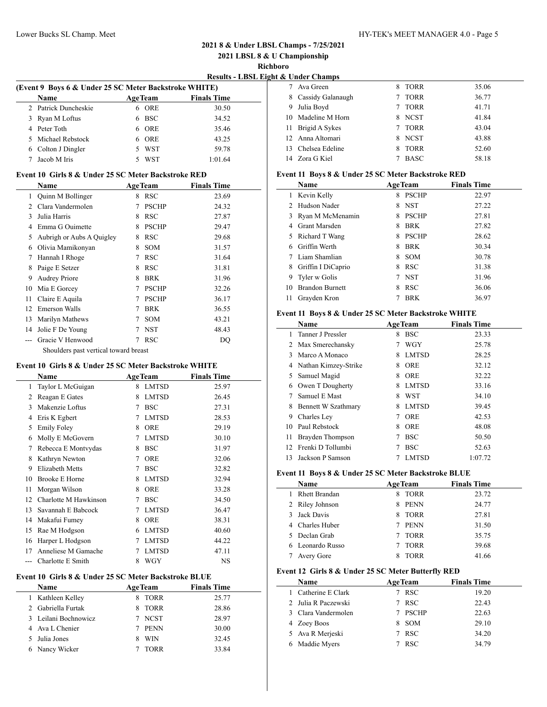L

## Lower Bucks SL Champ. Meet HY-TEK's MEET MANAGER 4.0 - Page 5

## **2021 8 & Under LBSL Champs - 7/25/2021**

**2021 LBSL 8 & U Championship**

**Richboro**

| <b>Results - LBSL Eight &amp; Under Champs</b> |  |  |  |
|------------------------------------------------|--|--|--|
|                                                |  |  |  |

 $\frac{1}{2}$ 

|   | (Event 9 Boys 6 & Under 25 SC Meter Backstroke WHITE) |    |                |                    |  |  |  |  |
|---|-------------------------------------------------------|----|----------------|--------------------|--|--|--|--|
|   | <b>Name</b>                                           |    | <b>AgeTeam</b> | <b>Finals Time</b> |  |  |  |  |
|   | 2 Patrick Duncheskie                                  |    | <b>ORE</b>     | 30.50              |  |  |  |  |
| 3 | Ryan M Loftus                                         | 6. | <b>BSC</b>     | 34.52              |  |  |  |  |
|   | 4 Peter Toth                                          |    | <b>ORE</b>     | 35.46              |  |  |  |  |
|   | 5 Michael Rebstock                                    | 6. | ORE            | 43.25              |  |  |  |  |
|   | 6 Colton J Dingler                                    |    | <b>WST</b>     | 59.78              |  |  |  |  |
|   | Jacob M Iris                                          |    | WST            | 1:01.64            |  |  |  |  |

#### **Event 10 Girls 8 & Under 25 SC Meter Backstroke RED**

|               | Name                                  | <b>AgeTeam</b> |              | <b>Finals Time</b> |  |  |  |  |
|---------------|---------------------------------------|----------------|--------------|--------------------|--|--|--|--|
| 1             | Quinn M Bollinger                     | 8              | RSC          | 23.69              |  |  |  |  |
| $\mathcal{L}$ | Clara Vandermolen                     | 7              | <b>PSCHP</b> | 24.32              |  |  |  |  |
| 3             | Julia Harris                          | 8              | <b>RSC</b>   | 27.87              |  |  |  |  |
| 4             | Emma G Ouimette                       | 8              | <b>PSCHP</b> | 29.47              |  |  |  |  |
| 5             | Aubrigh or Aubs A Quigley             | 8              | RSC          | 29.68              |  |  |  |  |
| 6             | Olivia Mamikonyan                     | 8              | <b>SOM</b>   | 31.57              |  |  |  |  |
| 7             | Hannah I Rhoge                        | 7              | <b>RSC</b>   | 31.64              |  |  |  |  |
| 8             | Paige E Setzer                        | 8              | <b>RSC</b>   | 31.81              |  |  |  |  |
| 9             | <b>Audrey Priore</b>                  | 8              | <b>BRK</b>   | 31.96              |  |  |  |  |
| 10            | Mia E Gorcey                          | 7              | <b>PSCHP</b> | 32.26              |  |  |  |  |
| 11            | Claire E Aquila                       | 7              | <b>PSCHP</b> | 36.17              |  |  |  |  |
| 12            | Emerson Walls                         | 7              | <b>BRK</b>   | 36.55              |  |  |  |  |
| 13            | Marilyn Mathews                       | 7              | <b>SOM</b>   | 43.21              |  |  |  |  |
| 14            | Jolie F De Young                      | 7              | <b>NST</b>   | 48.43              |  |  |  |  |
|               | Gracie V Henwood                      | 7              | RSC          | DO                 |  |  |  |  |
|               | Shoulders past vertical toward breast |                |              |                    |  |  |  |  |

#### **Event 10 Girls 8 & Under 25 SC Meter Backstroke WHITE**

|                | Name                   |   | <b>AgeTeam</b> | <b>Finals Time</b> |
|----------------|------------------------|---|----------------|--------------------|
| 1              | Taylor L McGuigan      | 8 | <b>LMTSD</b>   | 25.97              |
| $\overline{2}$ | Reagan E Gates         | 8 | <b>LMTSD</b>   | 26.45              |
| 3              | Makenzie Loftus        | 7 | <b>BSC</b>     | 27.31              |
| 4              | Eris K Egbert          | 7 | <b>LMTSD</b>   | 28.53              |
| 5              | <b>Emily Foley</b>     | 8 | <b>ORE</b>     | 29.19              |
| 6              | Molly E McGovern       | 7 | <b>LMTSD</b>   | 30.10              |
| 7              | Rebecca E Montvydas    | 8 | <b>BSC</b>     | 31.97              |
| 8              | Kathryn Newton         | 7 | <b>ORE</b>     | 32.06              |
| 9              | <b>Elizabeth Metts</b> | 7 | <b>BSC</b>     | 32.82              |
| 10             | <b>Brooke E Horne</b>  | 8 | <b>LMTSD</b>   | 32.94              |
| 11             | Morgan Wilson          | 8 | <b>ORE</b>     | 33.28              |
| 12             | Charlotte M Hawkinson  | 7 | BSC            | 34.50              |
| 13             | Savannah E Babcock     | 7 | <b>LMTSD</b>   | 36.47              |
| 14             | Makafui Fumey          | 8 | <b>ORE</b>     | 38.31              |
| 15             | Rae M Hodgson          | 6 | <b>LMTSD</b>   | 40.60              |
| 16             | Harper L Hodgson       | 7 | <b>LMTSD</b>   | 44.22              |
| 17             | Anneliese M Gamache    |   | <b>LMTSD</b>   | 47.11              |
|                | Charlotte E Smith      | 8 | WGY            | NS                 |
|                |                        |   |                |                    |

## **Event 10 Girls 8 & Under 25 SC Meter Backstroke BLUE**

| Name                 | <b>AgeTeam</b> | <b>Finals Time</b> |
|----------------------|----------------|--------------------|
| 1 Kathleen Kelley    | 8 TORR         | 25.77              |
| 2 Gabriella Furtak   | 8 TORR         | 28.86              |
| 3 Leilani Bochnowicz | 7 NCST         | 28.97              |
| 4 Ava L Chenier      | PENN<br>7.     | 30.00              |
| 5 Julia Jones        | WIN<br>8.      | 32.45              |
| 6 Nancy Wicker       | <b>TORR</b>    | 33.84              |

|   | & Under Champs      |   |             |       |
|---|---------------------|---|-------------|-------|
|   | Ava Green           | 8 | <b>TORR</b> | 35.06 |
|   | 8 Cassidy Galanaugh |   | <b>TORR</b> | 36.77 |
| 9 | Julia Boyd          |   | <b>TORR</b> | 41.71 |
|   | 10 Madeline M Horn  |   | 8 NCST      | 41.84 |
|   | 11 Brigid A Sykes   | 7 | TORR        | 43.04 |
|   | 12 Anna Altomari    |   | 8 NCST      | 43.88 |
|   | 13 Chelsea Edeline  | 8 | <b>TORR</b> | 52.60 |
|   | 14 Zora G Kiel      |   | <b>BASC</b> | 58.18 |

## **Event 11 Boys 8 & Under 25 SC Meter Backstroke RED**

|    | Name                   |   | <b>AgeTeam</b> | <b>Finals Time</b> |       |
|----|------------------------|---|----------------|--------------------|-------|
|    | Kevin Kelly            | 8 | <b>PSCHP</b>   |                    | 22.97 |
|    | Hudson Nader           | 8 | <b>NST</b>     |                    | 27.22 |
|    | Ryan M McMenamin       | 8 | <b>PSCHP</b>   |                    | 27.81 |
|    | <b>Grant Marsden</b>   | 8 | <b>BRK</b>     |                    | 27.82 |
| 5. | Richard T Wang         | 8 | <b>PSCHP</b>   |                    | 28.62 |
|    | Griffin Werth          | 8 | <b>BRK</b>     |                    | 30.34 |
|    | Liam Shamlian          | 8 | <b>SOM</b>     |                    | 30.78 |
| 8  | Griffin I DiCaprio     | 8 | <b>RSC</b>     |                    | 31.38 |
| 9  | Tyler w Golis          |   | <b>NST</b>     |                    | 31.96 |
| 10 | <b>Brandon Burnett</b> | 8 | <b>RSC</b>     |                    | 36.06 |
| 11 | Grayden Kron           |   | <b>BRK</b>     |                    | 36.97 |

## **Event 11 Boys 8 & Under 25 SC Meter Backstroke WHITE**

|    | Name                 | <b>AgeTeam</b> |              | <b>Finals Time</b> |  |
|----|----------------------|----------------|--------------|--------------------|--|
|    | Tanner J Pressler    | 8              | <b>BSC</b>   | 23.33              |  |
|    | Max Smerechansky     | 7              | WGY          | 25.78              |  |
| 3  | Marco A Monaco       | 8              | <b>LMTSD</b> | 28.25              |  |
|    | Nathan Kimzey-Strike | 8              | <b>ORE</b>   | 32.12              |  |
| 5  | Samuel Magid         | 8              | <b>ORE</b>   | 32.22              |  |
| 6  | Owen T Dougherty     | 8              | <b>LMTSD</b> | 33.16              |  |
|    | Samuel E Mast        | 8              | WST          | 34.10              |  |
| 8  | Bennett W Szathmary  | 8              | <b>LMTSD</b> | 39.45              |  |
| 9  | Charles Ley          | 7              | <b>ORE</b>   | 42.53              |  |
| 10 | Paul Rebstock        | 8              | <b>ORE</b>   | 48.08              |  |
| 11 | Brayden Thompson     | 7              | <b>BSC</b>   | 50.50              |  |
| 12 | Frenki D Tollumbi    |                | <b>BSC</b>   | 52.63              |  |
| 13 | Jackson P Samson     |                | <b>LMTSD</b> | 1:07.72            |  |

## **Event 11 Boys 8 & Under 25 SC Meter Backstroke BLUE**

| <b>Finals Time</b> | <b>AgeTeam</b>    |  | Name                 |  |  |  |
|--------------------|-------------------|--|----------------------|--|--|--|
| 23.72              | <b>TORR</b><br>8  |  | <b>Rhett Brandan</b> |  |  |  |
| 24.77              | <b>PENN</b><br>8. |  | 2 Riley Johnson      |  |  |  |
| 27.81              | <b>TORR</b><br>8. |  | 3 Jack Davis         |  |  |  |
| 31.50              | <b>PENN</b>       |  | 4 Charles Huber      |  |  |  |
| 35.75              | <b>TORR</b>       |  | 5 Declan Grab        |  |  |  |
| 39.68              | <b>TORR</b>       |  | 6 Leonardo Russo     |  |  |  |
| 41.66              | <b>TORR</b>       |  | Avery Gore           |  |  |  |
|                    |                   |  |                      |  |  |  |

## **Event 12 Girls 8 & Under 25 SC Meter Butterfly RED**

| Name | <b>AgeTeam</b>                                                                                                         |              | <b>Finals Time</b> |  |  |  |
|------|------------------------------------------------------------------------------------------------------------------------|--------------|--------------------|--|--|--|
|      |                                                                                                                        | <b>RSC</b>   | 19.20              |  |  |  |
|      | 7.                                                                                                                     | <b>RSC</b>   | 22.43              |  |  |  |
|      |                                                                                                                        | <b>PSCHP</b> | 22.63              |  |  |  |
|      | 8.                                                                                                                     |              | 29.10              |  |  |  |
|      |                                                                                                                        | <b>RSC</b>   | 34.20              |  |  |  |
|      |                                                                                                                        | <b>RSC</b>   | 34.79              |  |  |  |
|      | 1 Catherine E Clark<br>2 Julia R Paczewski<br>3 Clara Vandermolen<br>4 Zoey Boos<br>5 Ava R Merjeski<br>6 Maddie Myers |              | SOM                |  |  |  |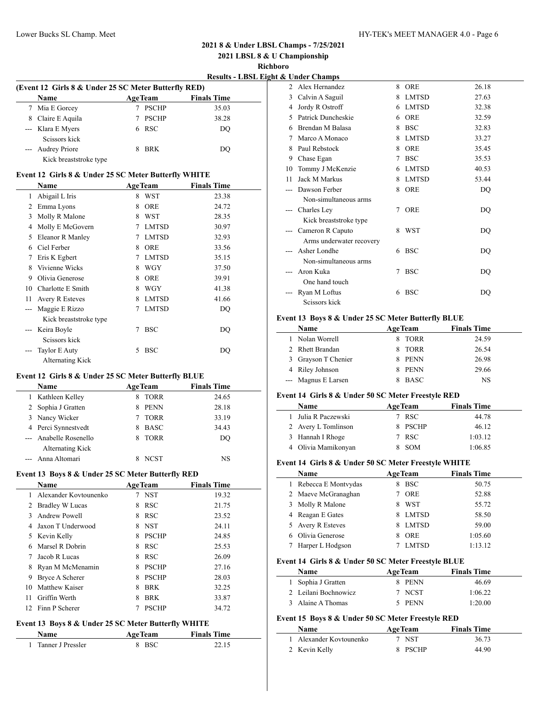**2021 LBSL 8 & U Championship**

**Richboro**

 $\overline{\phantom{a}}$ 

 $\overline{\phantom{a}}$ 

| (Event 12 Girls 8 & Under 25 SC Meter Butterfly RED) |                   |  |                |                    |  |  |  |
|------------------------------------------------------|-------------------|--|----------------|--------------------|--|--|--|
|                                                      | <b>Name</b>       |  | <b>AgeTeam</b> | <b>Finals Time</b> |  |  |  |
|                                                      | 7 Mia E Gorcey    |  | <b>PSCHP</b>   | 35.03              |  |  |  |
|                                                      | 8 Claire E Aquila |  | <b>PSCHP</b>   | 38.28              |  |  |  |
|                                                      | --- Klara E Myers |  | 6 RSC          | DO                 |  |  |  |
|                                                      | Scissors kick     |  |                |                    |  |  |  |
|                                                      | --- Audrey Priore |  | <b>BRK</b>     | DO)                |  |  |  |

Kick breaststroke type

#### **Event 12 Girls 8 & Under 25 SC Meter Butterfly WHITE**

|    | Name                   |   | <b>AgeTeam</b> | <b>Finals Time</b> |  |
|----|------------------------|---|----------------|--------------------|--|
| 1  | Abigail L Iris         | 8 | <b>WST</b>     | 23.38              |  |
| 2  | Emma Lyons             | 8 | <b>ORE</b>     | 24.72              |  |
| 3  | Molly R Malone         | 8 | <b>WST</b>     | 28.35              |  |
| 4  | Molly E McGovern       | 7 | <b>LMTSD</b>   | 30.97              |  |
| 5  | Eleanor R Manley       | 7 | <b>LMTSD</b>   | 32.93              |  |
| 6  | Ciel Ferber            | 8 | <b>ORE</b>     | 33.56              |  |
| 7  | Eris K Egbert          | 7 | <b>LMTSD</b>   | 35.15              |  |
| 8  | Vivienne Wicks         | 8 | <b>WGY</b>     | 37.50              |  |
| 9  | Olivia Generose        | 8 | ORE            | 39.91              |  |
| 10 | Charlotte E Smith      | 8 | WGY            | 41.38              |  |
| 11 | Avery R Esteves        | 8 | <b>LMTSD</b>   | 41.66              |  |
|    | Maggie E Rizzo         | 7 | <b>LMTSD</b>   | DQ                 |  |
|    | Kick breaststroke type |   |                |                    |  |
|    | Keira Boyle            | 7 | <b>BSC</b>     | DQ                 |  |
|    | Seissors kick          |   |                |                    |  |
|    | <b>Taylor E Auty</b>   | 5 | <b>BSC</b>     | DQ                 |  |
|    | Alternating Kick       |   |                |                    |  |

### **Event 12 Girls 8 & Under 25 SC Meter Butterfly BLUE**

| <b>Name</b>            |   | <b>AgeTeam</b> | <b>Finals Time</b> |  |
|------------------------|---|----------------|--------------------|--|
| 1 Kathleen Kelley      | 8 | <b>TORR</b>    | 24.65              |  |
| 2 Sophia J Gratten     |   | <b>PENN</b>    | 28.18              |  |
| 3 Nancy Wicker         |   | <b>TORR</b>    | 33.19              |  |
| 4 Perci Synnestvedt    |   | <b>BASC</b>    | 34.43              |  |
| --- Anabelle Rosenello |   | <b>TORR</b>    | DO                 |  |
| Alternating Kick       |   |                |                    |  |
| --- Anna Altomari      |   | <b>NCST</b>    | NS                 |  |

### **Event 13 Boys 8 & Under 25 SC Meter Butterfly RED**

|     | <b>Name</b>             | <b>AgeTeam</b> |              | <b>Finals Time</b> |
|-----|-------------------------|----------------|--------------|--------------------|
|     | 1 Alexander Kovtounenko |                | <b>NST</b>   | 19.32              |
| 2   | <b>Bradley W Lucas</b>  | 8              | <b>RSC</b>   | 21.75              |
| 3   | Andrew Powell           | 8              | <b>RSC</b>   | 23.52              |
| 4   | Jaxon T Underwood       | 8              | <b>NST</b>   | 24.11              |
|     | 5 Kevin Kelly           | 8              | <b>PSCHP</b> | 24.85              |
| 6   | Marsel R Dobrin         | 8              | <b>RSC</b>   | 25.53              |
|     | Jacob R Lucas           | 8              | <b>RSC</b>   | 26.09              |
| 8   | Ryan M McMenamin        | 8              | <b>PSCHP</b> | 27.16              |
| 9   | Bryce A Scherer         | 8              | <b>PSCHP</b> | 28.03              |
| 10  | Matthew Kaiser          | 8              | <b>BRK</b>   | 32.25              |
| 11  | Griffin Werth           | 8              | <b>BRK</b>   | 33.87              |
| 12. | Finn P Scherer          |                | <b>PSCHP</b> | 34.72              |

# **Event 13 Boys 8 & Under 25 SC Meter Butterfly WHITE**

| <b>Name</b>         | <b>AgeTeam</b> | <b>Finals Time</b> |  |
|---------------------|----------------|--------------------|--|
| 1 Tanner J Pressler | 8 BSC          | 22.15              |  |

|       | х unuer unamps           |   |              |       |
|-------|--------------------------|---|--------------|-------|
|       | 2 Alex Hernandez         | 8 | ORE          | 26.18 |
| 3     | Calvin A Saguil          | 8 | <b>LMTSD</b> | 27.63 |
| 4     | Jordy R Ostroff          | 6 | <b>LMTSD</b> | 32.38 |
| 5     | Patrick Duncheskie       | 6 | <b>ORE</b>   | 32.59 |
| 6     | Brendan M Balasa         | 8 | <b>BSC</b>   | 32.83 |
| 7     | Marco A Monaco           | 8 | <b>LMTSD</b> | 33.27 |
| 8     | Paul Rebstock            | 8 | <b>ORE</b>   | 35.45 |
| 9     | Chase Egan               | 7 | <b>BSC</b>   | 35.53 |
| 10    | Tommy J McKenzie         | 6 | <b>LMTSD</b> | 40.53 |
| 11    | Jack M Markus            | 8 | <b>LMTSD</b> | 53.44 |
|       | Dawson Ferber            | 8 | <b>ORE</b>   | DQ    |
|       | Non-simultaneous arms    |   |              |       |
| $---$ | Charles Ley              | 7 | <b>ORE</b>   | DO    |
|       | Kick breaststroke type   |   |              |       |
|       | Cameron R Caputo         | 8 | <b>WST</b>   | DO    |
|       | Arms underwater recovery |   |              |       |
|       | Asher Londhe             | 6 | <b>BSC</b>   | DO    |
|       | Non-simultaneous arms    |   |              |       |
|       | Aron Kuka                | 7 | <b>BSC</b>   | DO    |
|       | One hand touch           |   |              |       |
|       | Ryan M Loftus            | 6 | <b>BSC</b>   | DO    |
|       | Scissors kick            |   |              |       |

#### **Event 13 Boys 8 & Under 25 SC Meter Butterfly BLUE**

| Name                | <b>AgeTeam</b> | <b>Finals Time</b> |
|---------------------|----------------|--------------------|
| 1 Nolan Worrell     | TORR<br>x.     | 24.59              |
| 2 Rhett Brandan     | 8 TORR         | 26.54              |
| 3 Grayson T Chenier | PENN<br>8      | 26.98              |
| 4 Riley Johnson     | PENN<br>8      | 29.66              |
| --- Magnus E Larsen | BASC           | NS                 |

#### **Event 14 Girls 8 & Under 50 SC Meter Freestyle RED**

| <b>Name</b>         | <b>AgeTeam</b> | <b>Finals Time</b> |  |
|---------------------|----------------|--------------------|--|
| 1 Julia R Paczewski | 7 RSC          | 44.78              |  |
| 2 Avery L Tomlinson | 8 PSCHP        | 46.12              |  |
| 3 Hannah I Rhoge    | 7 RSC          | 1:03.12            |  |
| 4 Olivia Mamikonyan | <b>SOM</b>     | 1:06.85            |  |

#### **Event 14 Girls 8 & Under 50 SC Meter Freestyle WHITE**

| Name                | <b>AgeTeam</b>  | <b>Finals Time</b> |  |  |  |  |  |
|---------------------|-----------------|--------------------|--|--|--|--|--|
| Rebecca E Montvydas | <b>BSC</b>      | 50.75              |  |  |  |  |  |
| 2 Maeve McGranaghan | <b>ORE</b>      | 52.88              |  |  |  |  |  |
| 3 Molly R Malone    | <b>WST</b><br>8 | 55.72              |  |  |  |  |  |
| 4 Reagan E Gates    | LMTSD<br>8.     | 58.50              |  |  |  |  |  |
| 5 Avery R Esteves   | LMTSD<br>8.     | 59.00              |  |  |  |  |  |
| Olivia Generose     | <b>ORE</b>      | 1:05.60            |  |  |  |  |  |
| Harper L Hodgson    | <b>LMTSD</b>    | 1:13.12            |  |  |  |  |  |

## **Event 14 Girls 8 & Under 50 SC Meter Freestyle BLUE**

| <b>Name</b>          | <b>AgeTeam</b> | <b>Finals Time</b> |
|----------------------|----------------|--------------------|
| 1 Sophia J Gratten   | 8 PENN         | 46.69              |
| 2 Leilani Bochnowicz | 7 NCST         | 1:06.22            |
| 3 Alaine A Thomas    | 5 PENN         | 1:20.00            |

#### **Event 15 Boys 8 & Under 50 SC Meter Freestyle RED Name Age Team Finals Time**

| гуаше                   | Age ream | гшать гипе |  |
|-------------------------|----------|------------|--|
| 1 Alexander Kovtounenko | - NST    | 36.73      |  |
| 2 Kevin Kelly           | 8 PSCHP  | 44.90      |  |